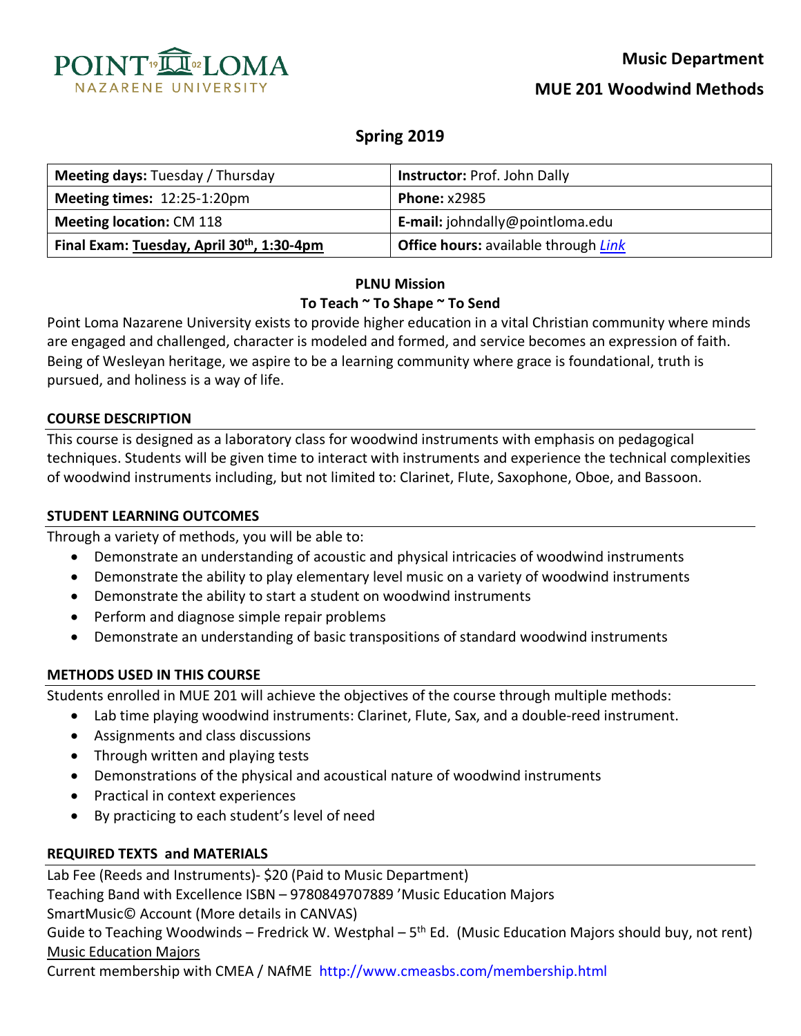

# **Spring 2019**

| <b>Meeting days: Tuesday / Thursday</b>                | Instructor: Prof. John Dally                |
|--------------------------------------------------------|---------------------------------------------|
|                                                        |                                             |
| Meeting times: 12:25-1:20pm                            | <b>Phone: x2985</b>                         |
| <b>Meeting location: CM 118</b>                        | E-mail: johndally@pointloma.edu             |
| Final Exam: Tuesday, April 30 <sup>th</sup> , 1:30-4pm | <b>Office hours:</b> available through Link |

# **PLNU Mission To Teach ~ To Shape ~ To Send**

Point Loma Nazarene University exists to provide higher education in a vital Christian community where minds are engaged and challenged, character is modeled and formed, and service becomes an expression of faith. Being of Wesleyan heritage, we aspire to be a learning community where grace is foundational, truth is pursued, and holiness is a way of life.

#### **COURSE DESCRIPTION**

This course is designed as a laboratory class for woodwind instruments with emphasis on pedagogical techniques. Students will be given time to interact with instruments and experience the technical complexities of woodwind instruments including, but not limited to: Clarinet, Flute, Saxophone, Oboe, and Bassoon.

#### **STUDENT LEARNING OUTCOMES**

Through a variety of methods, you will be able to:

- Demonstrate an understanding of acoustic and physical intricacies of woodwind instruments
- Demonstrate the ability to play elementary level music on a variety of woodwind instruments
- Demonstrate the ability to start a student on woodwind instruments
- Perform and diagnose simple repair problems
- Demonstrate an understanding of basic transpositions of standard woodwind instruments

#### **METHODS USED IN THIS COURSE**

Students enrolled in MUE 201 will achieve the objectives of the course through multiple methods:

- Lab time playing woodwind instruments: Clarinet, Flute, Sax, and a double-reed instrument.
- Assignments and class discussions
- Through written and playing tests
- Demonstrations of the physical and acoustical nature of woodwind instruments
- Practical in context experiences
- By practicing to each student's level of need

#### **REQUIRED TEXTS and MATERIALS**

Lab Fee (Reeds and Instruments)- \$20 (Paid to Music Department)

Teaching Band with Excellence ISBN – 9780849707889 'Music Education Majors SmartMusic© Account (More details in CANVAS)

Guide to Teaching Woodwinds – Fredrick W. Westphal –  $5<sup>th</sup>$  Ed. (Music Education Majors should buy, not rent) Music Education Majors

Current membership with CMEA / NAfME http://www.cmeasbs.com/membership.html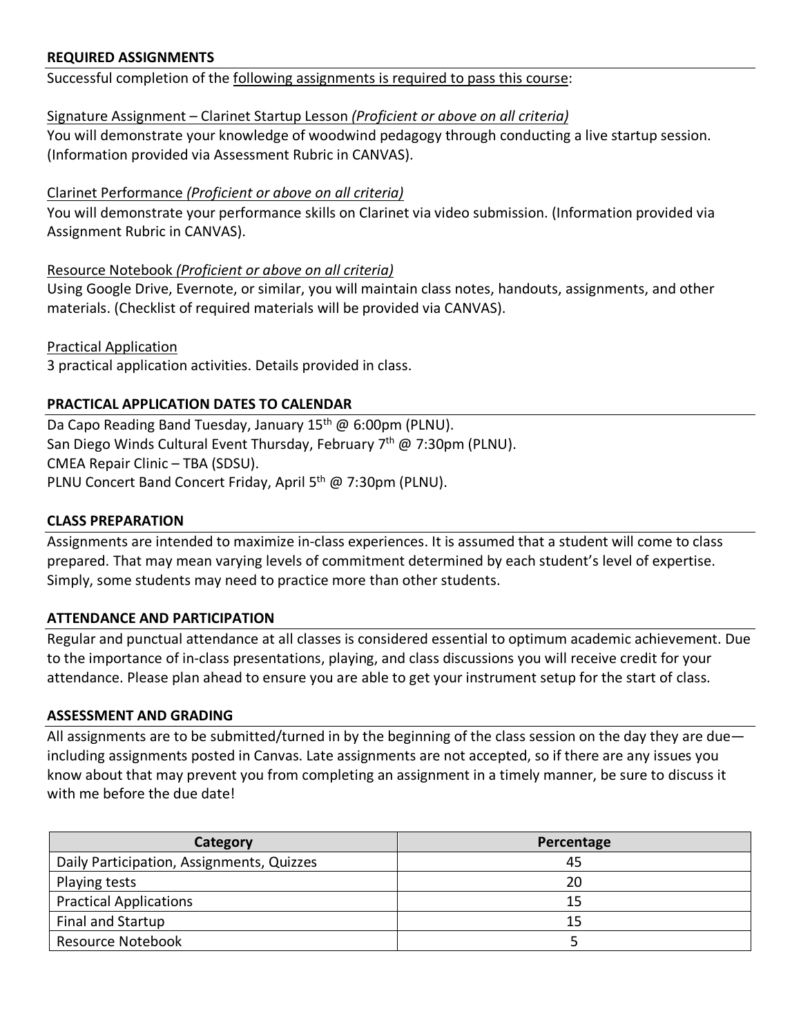## **REQUIRED ASSIGNMENTS**

Successful completion of the following assignments is required to pass this course:

### Signature Assignment – Clarinet Startup Lesson *(Proficient or above on all criteria)*

You will demonstrate your knowledge of woodwind pedagogy through conducting a live startup session. (Information provided via Assessment Rubric in CANVAS).

## Clarinet Performance *(Proficient or above on all criteria)*

You will demonstrate your performance skills on Clarinet via video submission. (Information provided via Assignment Rubric in CANVAS).

## Resource Notebook *(Proficient or above on all criteria)*

Using Google Drive, Evernote, or similar, you will maintain class notes, handouts, assignments, and other materials. (Checklist of required materials will be provided via CANVAS).

Practical Application 3 practical application activities. Details provided in class.

## **PRACTICAL APPLICATION DATES TO CALENDAR**

Da Capo Reading Band Tuesday, January 15<sup>th</sup> @ 6:00pm (PLNU). San Diego Winds Cultural Event Thursday, February 7<sup>th</sup> @ 7:30pm (PLNU). CMEA Repair Clinic – TBA (SDSU). PLNU Concert Band Concert Friday, April 5<sup>th</sup> @ 7:30pm (PLNU).

### **CLASS PREPARATION**

Assignments are intended to maximize in-class experiences. It is assumed that a student will come to class prepared. That may mean varying levels of commitment determined by each student's level of expertise. Simply, some students may need to practice more than other students.

### **ATTENDANCE AND PARTICIPATION**

Regular and punctual attendance at all classes is considered essential to optimum academic achievement. Due to the importance of in-class presentations, playing, and class discussions you will receive credit for your attendance. Please plan ahead to ensure you are able to get your instrument setup for the start of class.

### **ASSESSMENT AND GRADING**

All assignments are to be submitted/turned in by the beginning of the class session on the day they are due including assignments posted in Canvas. Late assignments are not accepted, so if there are any issues you know about that may prevent you from completing an assignment in a timely manner, be sure to discuss it with me before the due date!

| Category                                  | Percentage |  |
|-------------------------------------------|------------|--|
| Daily Participation, Assignments, Quizzes | 45         |  |
| Playing tests                             | 20         |  |
| <b>Practical Applications</b>             | 15         |  |
| Final and Startup                         | 15         |  |
| <b>Resource Notebook</b>                  |            |  |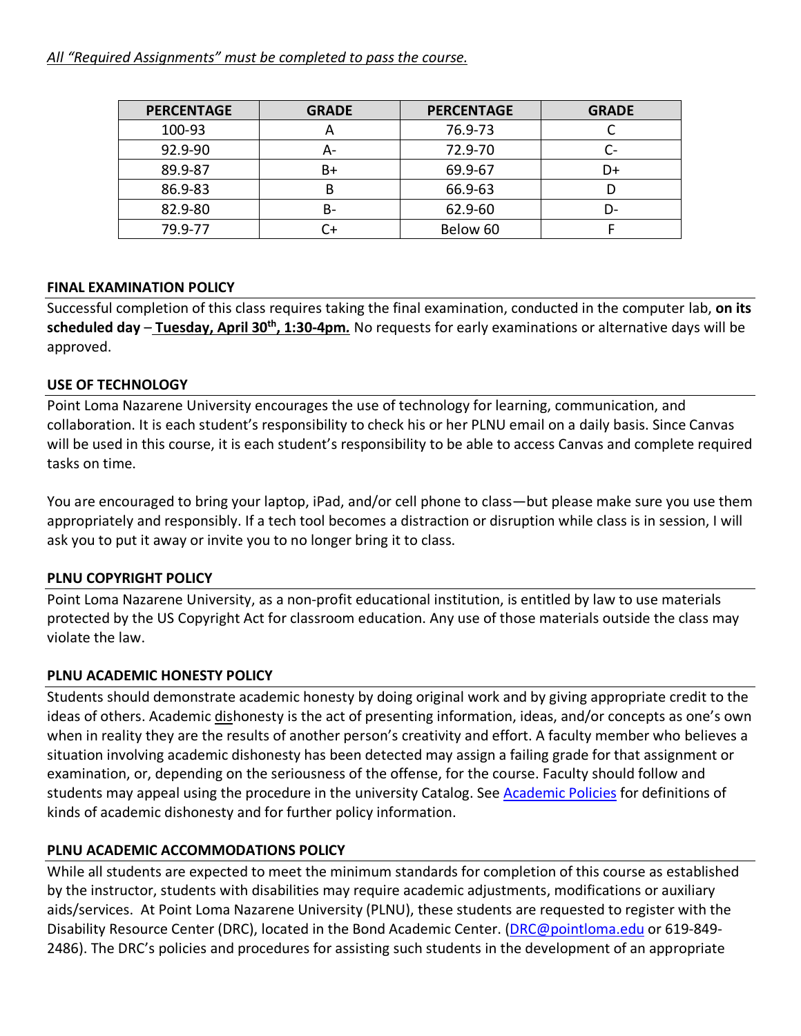*All "Required Assignments" must be completed to pass the course.*

| <b>PERCENTAGE</b> | <b>GRADE</b>            | <b>PERCENTAGE</b> | <b>GRADE</b> |
|-------------------|-------------------------|-------------------|--------------|
| 100-93            | $\overline{\mathsf{A}}$ | 76.9-73           |              |
| 92.9-90           | А-                      | 72.9-70           | C-           |
| 89.9-87           | B+                      | 69.9-67           | D+           |
| 86.9-83           |                         | 66.9-63           |              |
| 82.9-80           | B-                      | 62.9-60           | D-           |
| 79.9-77           | ີ+                      | Below 60          |              |

# **FINAL EXAMINATION POLICY**

Successful completion of this class requires taking the final examination, conducted in the computer lab, **on its scheduled day** – **Tuesday, April 30th, 1:30-4pm***.* No requests for early examinations or alternative days will be approved.

# **USE OF TECHNOLOGY**

Point Loma Nazarene University encourages the use of technology for learning, communication, and collaboration. It is each student's responsibility to check his or her PLNU email on a daily basis. Since Canvas will be used in this course, it is each student's responsibility to be able to access Canvas and complete required tasks on time.

You are encouraged to bring your laptop, iPad, and/or cell phone to class—but please make sure you use them appropriately and responsibly. If a tech tool becomes a distraction or disruption while class is in session, I will ask you to put it away or invite you to no longer bring it to class.

# **PLNU COPYRIGHT POLICY**

Point Loma Nazarene University, as a non-profit educational institution, is entitled by law to use materials protected by the US Copyright Act for classroom education. Any use of those materials outside the class may violate the law.

### **PLNU ACADEMIC HONESTY POLICY**

Students should demonstrate academic honesty by doing original work and by giving appropriate credit to the ideas of others. Academic dishonesty is the act of presenting information, ideas, and/or concepts as one's own when in reality they are the results of another person's creativity and effort. A faculty member who believes a situation involving academic dishonesty has been detected may assign a failing grade for that assignment or examination, or, depending on the seriousness of the offense, for the course. Faculty should follow and students may appeal using the procedure in the university Catalog. See Academic Policies for definitions of kinds of academic dishonesty and for further policy information.

# **PLNU ACADEMIC ACCOMMODATIONS POLICY**

While all students are expected to meet the minimum standards for completion of this course as established by the instructor, students with disabilities may require academic adjustments, modifications or auxiliary aids/services. At Point Loma Nazarene University (PLNU), these students are requested to register with the Disability Resource Center (DRC), located in the Bond Academic Center. (DRC@pointloma.edu or 619-849- 2486). The DRC's policies and procedures for assisting such students in the development of an appropriate